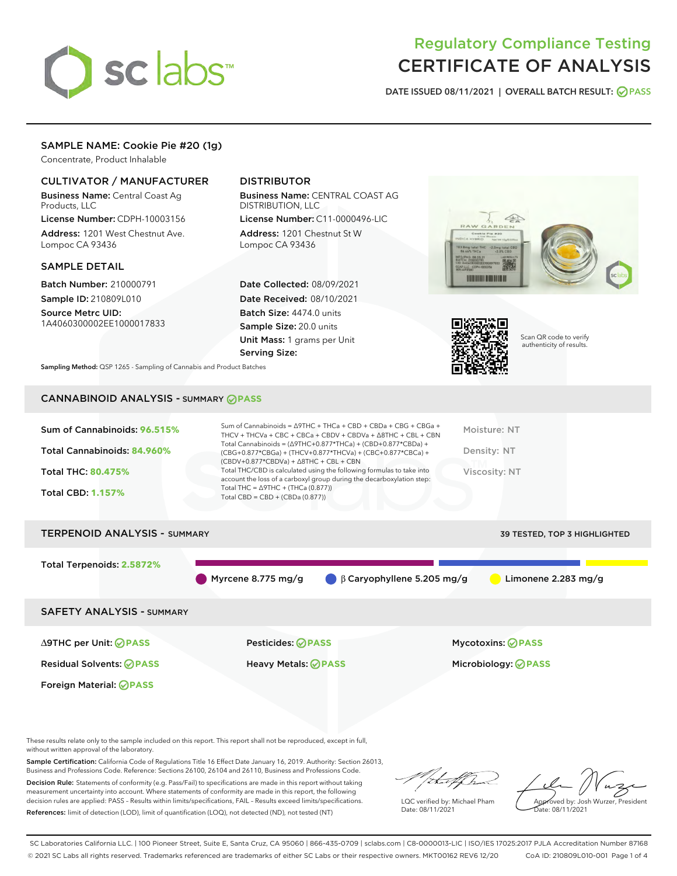

# Regulatory Compliance Testing CERTIFICATE OF ANALYSIS

DATE ISSUED 08/11/2021 | OVERALL BATCH RESULT: @ PASS

# SAMPLE NAME: Cookie Pie #20 (1g)

Concentrate, Product Inhalable

# CULTIVATOR / MANUFACTURER

Business Name: Central Coast Ag Products, LLC

License Number: CDPH-10003156 Address: 1201 West Chestnut Ave. Lompoc CA 93436

#### SAMPLE DETAIL

Batch Number: 210000791 Sample ID: 210809L010

Source Metrc UID: 1A4060300002EE1000017833

# DISTRIBUTOR

Business Name: CENTRAL COAST AG DISTRIBUTION, LLC

License Number: C11-0000496-LIC Address: 1201 Chestnut St W Lompoc CA 93436

Date Collected: 08/09/2021 Date Received: 08/10/2021 Batch Size: 4474.0 units Sample Size: 20.0 units Unit Mass: 1 grams per Unit Serving Size:





Scan QR code to verify authenticity of results.

Sampling Method: QSP 1265 - Sampling of Cannabis and Product Batches

# CANNABINOID ANALYSIS - SUMMARY **PASS**

| Sum of Cannabinoids: 96.515%<br>Total Cannabinoids: 84.960%<br><b>Total THC: 80.475%</b><br><b>Total CBD: 1.157%</b> | Sum of Cannabinoids = $\triangle$ 9THC + THCa + CBD + CBDa + CBG + CBGa +<br>THCV + THCVa + CBC + CBCa + CBDV + CBDVa + $\land$ 8THC + CBL + CBN<br>Total Cannabinoids = $(\Delta$ 9THC+0.877*THCa) + (CBD+0.877*CBDa) +<br>(CBG+0.877*CBGa) + (THCV+0.877*THCVa) + (CBC+0.877*CBCa) +<br>$(CBDV+0.877*CBDVa) + \Delta 8THC + CBL + CBN$<br>Total THC/CBD is calculated using the following formulas to take into<br>account the loss of a carboxyl group during the decarboxylation step:<br>Total THC = $\triangle$ 9THC + (THCa (0.877))<br>Total CBD = $CBD + (CBDa (0.877))$ | Moisture: NT<br>Density: NT<br>Viscosity: NT |
|----------------------------------------------------------------------------------------------------------------------|-----------------------------------------------------------------------------------------------------------------------------------------------------------------------------------------------------------------------------------------------------------------------------------------------------------------------------------------------------------------------------------------------------------------------------------------------------------------------------------------------------------------------------------------------------------------------------------|----------------------------------------------|
| <b>TERPENOID ANALYSIS - SUMMARY</b>                                                                                  |                                                                                                                                                                                                                                                                                                                                                                                                                                                                                                                                                                                   | 39 TESTED, TOP 3 HIGHLIGHTED                 |
|                                                                                                                      |                                                                                                                                                                                                                                                                                                                                                                                                                                                                                                                                                                                   |                                              |

Myrcene 8.775 mg/g β Caryophyllene 5.205 mg/g Limonene 2.283 mg/g

SAFETY ANALYSIS - SUMMARY

∆9THC per Unit: **PASS** Pesticides: **PASS** Mycotoxins: **PASS**

Foreign Material: **PASS**

Total Terpenoids: **2.5872%**

Residual Solvents: **PASS** Heavy Metals: **PASS** Microbiology: **PASS**

These results relate only to the sample included on this report. This report shall not be reproduced, except in full, without written approval of the laboratory.

Sample Certification: California Code of Regulations Title 16 Effect Date January 16, 2019. Authority: Section 26013, Business and Professions Code. Reference: Sections 26100, 26104 and 26110, Business and Professions Code.

Decision Rule: Statements of conformity (e.g. Pass/Fail) to specifications are made in this report without taking measurement uncertainty into account. Where statements of conformity are made in this report, the following decision rules are applied: PASS – Results within limits/specifications, FAIL – Results exceed limits/specifications. References: limit of detection (LOD), limit of quantification (LOQ), not detected (ND), not tested (NT)

that f Tr

LQC verified by: Michael Pham Date: 08/11/2021

Approved by: Josh Wurzer, President ate: 08/11/2021

SC Laboratories California LLC. | 100 Pioneer Street, Suite E, Santa Cruz, CA 95060 | 866-435-0709 | sclabs.com | C8-0000013-LIC | ISO/IES 17025:2017 PJLA Accreditation Number 87168 © 2021 SC Labs all rights reserved. Trademarks referenced are trademarks of either SC Labs or their respective owners. MKT00162 REV6 12/20 CoA ID: 210809L010-001 Page 1 of 4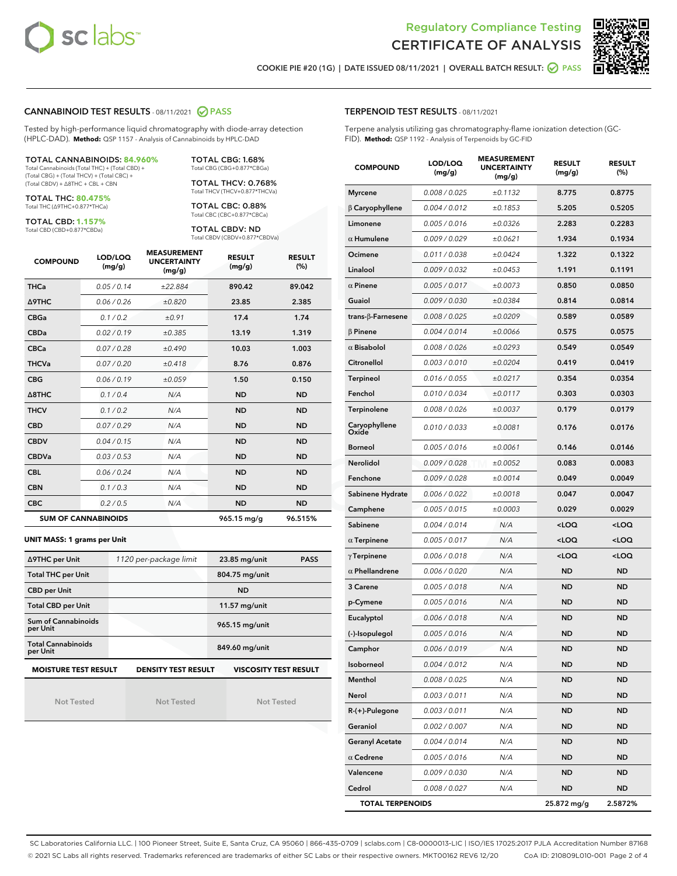



COOKIE PIE #20 (1G) | DATE ISSUED 08/11/2021 | OVERALL BATCH RESULT: **○** PASS

#### CANNABINOID TEST RESULTS - 08/11/2021 2 PASS

Tested by high-performance liquid chromatography with diode-array detection (HPLC-DAD). **Method:** QSP 1157 - Analysis of Cannabinoids by HPLC-DAD

#### TOTAL CANNABINOIDS: **84.960%**

Total Cannabinoids (Total THC) + (Total CBD) + (Total CBG) + (Total THCV) + (Total CBC) + (Total CBDV) + ∆8THC + CBL + CBN

TOTAL THC: **80.475%** Total THC (∆9THC+0.877\*THCa)

TOTAL CBD: **1.157%**

Total CBD (CBD+0.877\*CBDa)

TOTAL CBG: 1.68% Total CBG (CBG+0.877\*CBGa)

TOTAL THCV: 0.768% Total THCV (THCV+0.877\*THCVa)

TOTAL CBC: 0.88% Total CBC (CBC+0.877\*CBCa)

TOTAL CBDV: ND Total CBDV (CBDV+0.877\*CBDVa)

| <b>COMPOUND</b>  | LOD/LOQ<br>(mg/g)          | <b>MEASUREMENT</b><br><b>UNCERTAINTY</b><br>(mg/g) | <b>RESULT</b><br>(mg/g) | <b>RESULT</b><br>(%) |
|------------------|----------------------------|----------------------------------------------------|-------------------------|----------------------|
| <b>THCa</b>      | 0.05/0.14                  | ±22.884                                            | 890.42                  | 89.042               |
| Δ9THC            | 0.06 / 0.26                | ±0.820                                             | 23.85                   | 2.385                |
| <b>CBGa</b>      | 0.1/0.2                    | ±0.91                                              | 17.4                    | 1.74                 |
| <b>CBDa</b>      | 0.02/0.19                  | ±0.385                                             | 13.19                   | 1.319                |
| <b>CBCa</b>      | 0.07/0.28                  | ±0.490                                             | 10.03                   | 1.003                |
| <b>THCVa</b>     | 0.07/0.20                  | ±0.418                                             | 8.76                    | 0.876                |
| <b>CBG</b>       | 0.06/0.19                  | ±0.059                                             | 1.50                    | 0.150                |
| $\triangle$ 8THC | 0.1/0.4                    | N/A                                                | <b>ND</b>               | <b>ND</b>            |
| <b>THCV</b>      | 0.1/0.2                    | N/A                                                | <b>ND</b>               | <b>ND</b>            |
| <b>CBD</b>       | 0.07/0.29                  | N/A                                                | <b>ND</b>               | <b>ND</b>            |
| <b>CBDV</b>      | 0.04 / 0.15                | N/A                                                | <b>ND</b>               | <b>ND</b>            |
| <b>CBDVa</b>     | 0.03/0.53                  | N/A                                                | <b>ND</b>               | <b>ND</b>            |
| <b>CBL</b>       | 0.06 / 0.24                | N/A                                                | <b>ND</b>               | <b>ND</b>            |
| <b>CBN</b>       | 0.1/0.3                    | N/A                                                | <b>ND</b>               | <b>ND</b>            |
| <b>CBC</b>       | 0.2 / 0.5                  | N/A                                                | <b>ND</b>               | <b>ND</b>            |
|                  | <b>SUM OF CANNABINOIDS</b> |                                                    | 965.15 mg/g             | 96.515%              |

#### **UNIT MASS: 1 grams per Unit**

| ∆9THC per Unit                        | 1120 per-package limit     | 23.85 mg/unit<br><b>PASS</b> |  |
|---------------------------------------|----------------------------|------------------------------|--|
| <b>Total THC per Unit</b>             |                            | 804.75 mg/unit               |  |
| <b>CBD per Unit</b>                   |                            | <b>ND</b>                    |  |
| <b>Total CBD per Unit</b>             |                            | 11.57 mg/unit                |  |
| Sum of Cannabinoids<br>per Unit       |                            | 965.15 mg/unit               |  |
| <b>Total Cannabinoids</b><br>per Unit |                            | 849.60 mg/unit               |  |
| <b>MOISTURE TEST RESULT</b>           | <b>DENSITY TEST RESULT</b> | <b>VISCOSITY TEST RESULT</b> |  |

Not Tested

Not Tested

Not Tested

#### TERPENOID TEST RESULTS - 08/11/2021

Terpene analysis utilizing gas chromatography-flame ionization detection (GC-FID). **Method:** QSP 1192 - Analysis of Terpenoids by GC-FID

| <b>COMPOUND</b>           | LOD/LOQ<br>(mg/g) | <b>MEASUREMENT</b><br><b>UNCERTAINTY</b><br>(mg/g) | <b>RESULT</b><br>(mg/g)                         | <b>RESULT</b><br>(%) |
|---------------------------|-------------------|----------------------------------------------------|-------------------------------------------------|----------------------|
| <b>Myrcene</b>            | 0.008 / 0.025     | ±0.1132                                            | 8.775                                           | 0.8775               |
| $\beta$ Caryophyllene     | 0.004 / 0.012     | ±0.1853                                            | 5.205                                           | 0.5205               |
| Limonene                  | 0.005 / 0.016     | ±0.0326                                            | 2.283                                           | 0.2283               |
| $\alpha$ Humulene         | 0.009 / 0.029     | ±0.0621                                            | 1.934                                           | 0.1934               |
| Ocimene                   | 0.011 / 0.038     | ±0.0424                                            | 1.322                                           | 0.1322               |
| Linalool                  | 0.009 / 0.032     | ±0.0453                                            | 1.191                                           | 0.1191               |
| $\alpha$ Pinene           | 0.005 / 0.017     | ±0.0073                                            | 0.850                                           | 0.0850               |
| Guaiol                    | 0.009 / 0.030     | ±0.0384                                            | 0.814                                           | 0.0814               |
| trans- $\beta$ -Farnesene | 0.008 / 0.025     | ±0.0209                                            | 0.589                                           | 0.0589               |
| $\beta$ Pinene            | 0.004 / 0.014     | ±0.0066                                            | 0.575                                           | 0.0575               |
| $\alpha$ Bisabolol        | 0.008 / 0.026     | ±0.0293                                            | 0.549                                           | 0.0549               |
| Citronellol               | 0.003 / 0.010     | ±0.0204                                            | 0.419                                           | 0.0419               |
| <b>Terpineol</b>          | 0.016 / 0.055     | ±0.0217                                            | 0.354                                           | 0.0354               |
| Fenchol                   | 0.010 / 0.034     | ±0.0117                                            | 0.303                                           | 0.0303               |
| Terpinolene               | 0.008 / 0.026     | ±0.0037                                            | 0.179                                           | 0.0179               |
| Caryophyllene<br>Oxide    | 0.010 / 0.033     | ±0.0081                                            | 0.176                                           | 0.0176               |
| <b>Borneol</b>            | 0.005 / 0.016     | ±0.0061                                            | 0.146                                           | 0.0146               |
| Nerolidol                 | 0.009 / 0.028     | ±0.0052                                            | 0.083                                           | 0.0083               |
| Fenchone                  | 0.009 / 0.028     | ±0.0014                                            | 0.049                                           | 0.0049               |
| Sabinene Hydrate          | 0.006 / 0.022     | ±0.0018                                            | 0.047                                           | 0.0047               |
| Camphene                  | 0.005 / 0.015     | ±0.0003                                            | 0.029                                           | 0.0029               |
| Sabinene                  | 0.004 / 0.014     | N/A                                                | <loq< th=""><th><loq< th=""></loq<></th></loq<> | <loq< th=""></loq<>  |
| $\alpha$ Terpinene        | 0.005 / 0.017     | N/A                                                | <loq< th=""><th><loq< th=""></loq<></th></loq<> | <loq< th=""></loq<>  |
| $\gamma$ Terpinene        | 0.006 / 0.018     | N/A                                                | <loq< th=""><th><loq< th=""></loq<></th></loq<> | <loq< th=""></loq<>  |
| $\alpha$ Phellandrene     | 0.006 / 0.020     | N/A                                                | <b>ND</b>                                       | ND                   |
| 3 Carene                  | 0.005 / 0.018     | N/A                                                | ND                                              | <b>ND</b>            |
| p-Cymene                  | 0.005 / 0.016     | N/A                                                | ND                                              | <b>ND</b>            |
| Eucalyptol                | 0.006 / 0.018     | N/A                                                | ND                                              | <b>ND</b>            |
| (-)-Isopulegol            | 0.005 / 0.016     | N/A                                                | ND                                              | ND                   |
| Camphor                   | 0.006 / 0.019     | N/A                                                | <b>ND</b>                                       | <b>ND</b>            |
| Isoborneol                | 0.004 / 0.012     | N/A                                                | ND                                              | ND                   |
| Menthol                   | 0.008 / 0.025     | N/A                                                | <b>ND</b>                                       | <b>ND</b>            |
| Nerol                     | 0.003 / 0.011     | N/A                                                | <b>ND</b>                                       | <b>ND</b>            |
| R-(+)-Pulegone            | 0.003 / 0.011     | N/A                                                | ND                                              | <b>ND</b>            |
| Geraniol                  | 0.002 / 0.007     | N/A                                                | ND                                              | ND                   |
| <b>Geranyl Acetate</b>    | 0.004 / 0.014     | N/A                                                | <b>ND</b>                                       | ND                   |
| $\alpha$ Cedrene          | 0.005 / 0.016     | N/A                                                | ND                                              | ND                   |
| Valencene                 | 0.009 / 0.030     | N/A                                                | ND                                              | ND                   |
| Cedrol                    | 0.008 / 0.027     | N/A                                                | ND                                              | ND                   |
| <b>TOTAL TERPENOIDS</b>   |                   |                                                    | 25.872 mg/g                                     | 2.5872%              |

SC Laboratories California LLC. | 100 Pioneer Street, Suite E, Santa Cruz, CA 95060 | 866-435-0709 | sclabs.com | C8-0000013-LIC | ISO/IES 17025:2017 PJLA Accreditation Number 87168 © 2021 SC Labs all rights reserved. Trademarks referenced are trademarks of either SC Labs or their respective owners. MKT00162 REV6 12/20 CoA ID: 210809L010-001 Page 2 of 4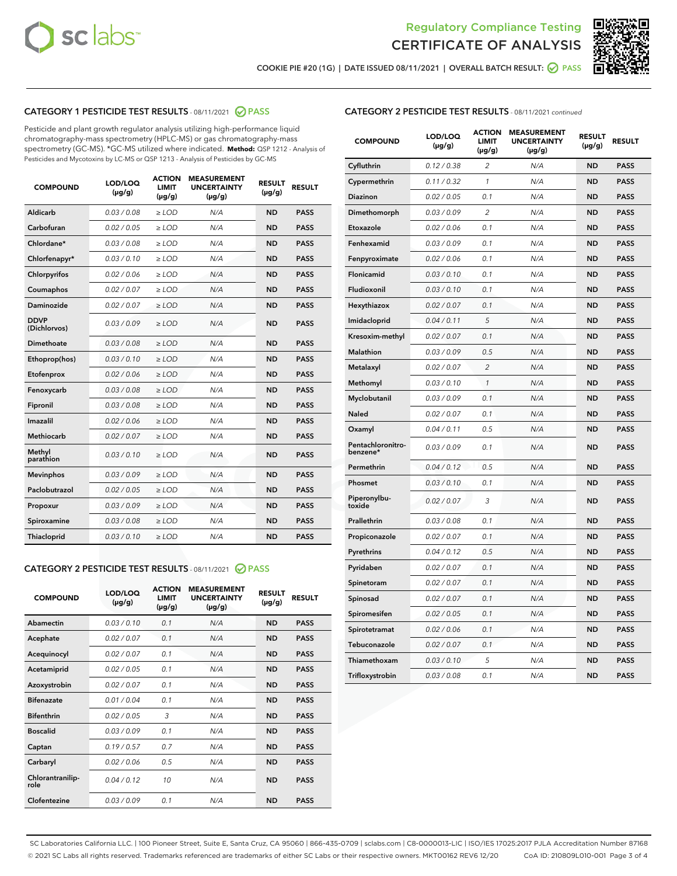



COOKIE PIE #20 (1G) | DATE ISSUED 08/11/2021 | OVERALL BATCH RESULT:  $\bigcirc$  PASS

# CATEGORY 1 PESTICIDE TEST RESULTS - 08/11/2021 2 PASS

Pesticide and plant growth regulator analysis utilizing high-performance liquid chromatography-mass spectrometry (HPLC-MS) or gas chromatography-mass spectrometry (GC-MS). \*GC-MS utilized where indicated. **Method:** QSP 1212 - Analysis of Pesticides and Mycotoxins by LC-MS or QSP 1213 - Analysis of Pesticides by GC-MS

| 0.03/0.08<br>Aldicarb<br>$>$ LOD<br>N/A<br><b>ND</b><br><b>PASS</b><br>Carbofuran<br>0.02 / 0.05<br>$\ge$ LOD<br>N/A<br><b>ND</b><br><b>PASS</b><br>Chlordane*<br>0.03/0.08<br>$>$ LOD<br>N/A<br><b>ND</b><br><b>PASS</b><br>Chlorfenapyr*<br>0.03/0.10<br><b>PASS</b><br>$\ge$ LOD<br>N/A<br><b>ND</b><br>Chlorpyrifos<br>0.02 / 0.06<br>N/A<br><b>ND</b><br><b>PASS</b><br>$\ge$ LOD<br>0.02 / 0.07<br>N/A<br><b>ND</b><br><b>PASS</b><br>Coumaphos<br>$\ge$ LOD<br>Daminozide<br>0.02 / 0.07<br>$\ge$ LOD<br>N/A<br><b>ND</b><br><b>PASS</b><br><b>DDVP</b><br>0.03/0.09<br>$\ge$ LOD<br>N/A<br><b>ND</b><br><b>PASS</b><br>(Dichlorvos)<br><b>Dimethoate</b><br>0.03 / 0.08<br>N/A<br><b>ND</b><br><b>PASS</b><br>$\ge$ LOD<br>0.03/0.10<br>N/A<br><b>ND</b><br><b>PASS</b><br>Ethoprop(hos)<br>$\ge$ LOD<br>0.02 / 0.06<br>N/A<br><b>ND</b><br><b>PASS</b><br>Etofenprox<br>$\ge$ LOD<br>0.03/0.08<br>N/A<br><b>ND</b><br><b>PASS</b><br>Fenoxycarb<br>$\ge$ LOD<br>0.03/0.08<br>$>$ LOD<br>N/A<br><b>ND</b><br>Fipronil<br><b>PASS</b><br>0.02 / 0.06<br>Imazalil<br>$\ge$ LOD<br>N/A<br><b>ND</b><br><b>PASS</b><br>Methiocarb<br>0.02 / 0.07<br>$\ge$ LOD<br>N/A<br><b>ND</b><br><b>PASS</b><br>Methyl<br>0.03/0.10<br>N/A<br><b>ND</b><br><b>PASS</b><br>$\ge$ LOD<br>parathion<br>0.03/0.09<br>$\ge$ LOD<br><b>ND</b><br><b>PASS</b><br><b>Mevinphos</b><br>N/A<br>Paclobutrazol<br>0.02 / 0.05<br>$>$ LOD<br>N/A<br><b>ND</b><br><b>PASS</b><br>0.03/0.09<br>N/A<br>$\ge$ LOD<br><b>ND</b><br><b>PASS</b><br>Propoxur<br>0.03/0.08<br><b>ND</b><br><b>PASS</b><br>Spiroxamine<br>$\ge$ LOD<br>N/A<br>Thiacloprid<br>0.03/0.10<br>$\ge$ LOD<br>N/A<br><b>ND</b><br><b>PASS</b> | <b>COMPOUND</b> | LOD/LOQ<br>$(\mu g/g)$ | <b>ACTION</b><br><b>LIMIT</b><br>$(\mu g/g)$ | <b>MEASUREMENT</b><br><b>UNCERTAINTY</b><br>$(\mu g/g)$ | <b>RESULT</b><br>$(\mu g/g)$ | <b>RESULT</b> |
|------------------------------------------------------------------------------------------------------------------------------------------------------------------------------------------------------------------------------------------------------------------------------------------------------------------------------------------------------------------------------------------------------------------------------------------------------------------------------------------------------------------------------------------------------------------------------------------------------------------------------------------------------------------------------------------------------------------------------------------------------------------------------------------------------------------------------------------------------------------------------------------------------------------------------------------------------------------------------------------------------------------------------------------------------------------------------------------------------------------------------------------------------------------------------------------------------------------------------------------------------------------------------------------------------------------------------------------------------------------------------------------------------------------------------------------------------------------------------------------------------------------------------------------------------------------------------------------------------------------------------------------------------------------------------------------|-----------------|------------------------|----------------------------------------------|---------------------------------------------------------|------------------------------|---------------|
|                                                                                                                                                                                                                                                                                                                                                                                                                                                                                                                                                                                                                                                                                                                                                                                                                                                                                                                                                                                                                                                                                                                                                                                                                                                                                                                                                                                                                                                                                                                                                                                                                                                                                          |                 |                        |                                              |                                                         |                              |               |
|                                                                                                                                                                                                                                                                                                                                                                                                                                                                                                                                                                                                                                                                                                                                                                                                                                                                                                                                                                                                                                                                                                                                                                                                                                                                                                                                                                                                                                                                                                                                                                                                                                                                                          |                 |                        |                                              |                                                         |                              |               |
|                                                                                                                                                                                                                                                                                                                                                                                                                                                                                                                                                                                                                                                                                                                                                                                                                                                                                                                                                                                                                                                                                                                                                                                                                                                                                                                                                                                                                                                                                                                                                                                                                                                                                          |                 |                        |                                              |                                                         |                              |               |
|                                                                                                                                                                                                                                                                                                                                                                                                                                                                                                                                                                                                                                                                                                                                                                                                                                                                                                                                                                                                                                                                                                                                                                                                                                                                                                                                                                                                                                                                                                                                                                                                                                                                                          |                 |                        |                                              |                                                         |                              |               |
|                                                                                                                                                                                                                                                                                                                                                                                                                                                                                                                                                                                                                                                                                                                                                                                                                                                                                                                                                                                                                                                                                                                                                                                                                                                                                                                                                                                                                                                                                                                                                                                                                                                                                          |                 |                        |                                              |                                                         |                              |               |
|                                                                                                                                                                                                                                                                                                                                                                                                                                                                                                                                                                                                                                                                                                                                                                                                                                                                                                                                                                                                                                                                                                                                                                                                                                                                                                                                                                                                                                                                                                                                                                                                                                                                                          |                 |                        |                                              |                                                         |                              |               |
|                                                                                                                                                                                                                                                                                                                                                                                                                                                                                                                                                                                                                                                                                                                                                                                                                                                                                                                                                                                                                                                                                                                                                                                                                                                                                                                                                                                                                                                                                                                                                                                                                                                                                          |                 |                        |                                              |                                                         |                              |               |
|                                                                                                                                                                                                                                                                                                                                                                                                                                                                                                                                                                                                                                                                                                                                                                                                                                                                                                                                                                                                                                                                                                                                                                                                                                                                                                                                                                                                                                                                                                                                                                                                                                                                                          |                 |                        |                                              |                                                         |                              |               |
|                                                                                                                                                                                                                                                                                                                                                                                                                                                                                                                                                                                                                                                                                                                                                                                                                                                                                                                                                                                                                                                                                                                                                                                                                                                                                                                                                                                                                                                                                                                                                                                                                                                                                          |                 |                        |                                              |                                                         |                              |               |
|                                                                                                                                                                                                                                                                                                                                                                                                                                                                                                                                                                                                                                                                                                                                                                                                                                                                                                                                                                                                                                                                                                                                                                                                                                                                                                                                                                                                                                                                                                                                                                                                                                                                                          |                 |                        |                                              |                                                         |                              |               |
|                                                                                                                                                                                                                                                                                                                                                                                                                                                                                                                                                                                                                                                                                                                                                                                                                                                                                                                                                                                                                                                                                                                                                                                                                                                                                                                                                                                                                                                                                                                                                                                                                                                                                          |                 |                        |                                              |                                                         |                              |               |
|                                                                                                                                                                                                                                                                                                                                                                                                                                                                                                                                                                                                                                                                                                                                                                                                                                                                                                                                                                                                                                                                                                                                                                                                                                                                                                                                                                                                                                                                                                                                                                                                                                                                                          |                 |                        |                                              |                                                         |                              |               |
|                                                                                                                                                                                                                                                                                                                                                                                                                                                                                                                                                                                                                                                                                                                                                                                                                                                                                                                                                                                                                                                                                                                                                                                                                                                                                                                                                                                                                                                                                                                                                                                                                                                                                          |                 |                        |                                              |                                                         |                              |               |
|                                                                                                                                                                                                                                                                                                                                                                                                                                                                                                                                                                                                                                                                                                                                                                                                                                                                                                                                                                                                                                                                                                                                                                                                                                                                                                                                                                                                                                                                                                                                                                                                                                                                                          |                 |                        |                                              |                                                         |                              |               |
|                                                                                                                                                                                                                                                                                                                                                                                                                                                                                                                                                                                                                                                                                                                                                                                                                                                                                                                                                                                                                                                                                                                                                                                                                                                                                                                                                                                                                                                                                                                                                                                                                                                                                          |                 |                        |                                              |                                                         |                              |               |
|                                                                                                                                                                                                                                                                                                                                                                                                                                                                                                                                                                                                                                                                                                                                                                                                                                                                                                                                                                                                                                                                                                                                                                                                                                                                                                                                                                                                                                                                                                                                                                                                                                                                                          |                 |                        |                                              |                                                         |                              |               |
|                                                                                                                                                                                                                                                                                                                                                                                                                                                                                                                                                                                                                                                                                                                                                                                                                                                                                                                                                                                                                                                                                                                                                                                                                                                                                                                                                                                                                                                                                                                                                                                                                                                                                          |                 |                        |                                              |                                                         |                              |               |
|                                                                                                                                                                                                                                                                                                                                                                                                                                                                                                                                                                                                                                                                                                                                                                                                                                                                                                                                                                                                                                                                                                                                                                                                                                                                                                                                                                                                                                                                                                                                                                                                                                                                                          |                 |                        |                                              |                                                         |                              |               |
|                                                                                                                                                                                                                                                                                                                                                                                                                                                                                                                                                                                                                                                                                                                                                                                                                                                                                                                                                                                                                                                                                                                                                                                                                                                                                                                                                                                                                                                                                                                                                                                                                                                                                          |                 |                        |                                              |                                                         |                              |               |
|                                                                                                                                                                                                                                                                                                                                                                                                                                                                                                                                                                                                                                                                                                                                                                                                                                                                                                                                                                                                                                                                                                                                                                                                                                                                                                                                                                                                                                                                                                                                                                                                                                                                                          |                 |                        |                                              |                                                         |                              |               |
|                                                                                                                                                                                                                                                                                                                                                                                                                                                                                                                                                                                                                                                                                                                                                                                                                                                                                                                                                                                                                                                                                                                                                                                                                                                                                                                                                                                                                                                                                                                                                                                                                                                                                          |                 |                        |                                              |                                                         |                              |               |

#### CATEGORY 2 PESTICIDE TEST RESULTS - 08/11/2021 @ PASS

| <b>COMPOUND</b>          | LOD/LOO<br>$(\mu g/g)$ | <b>ACTION</b><br>LIMIT<br>$(\mu g/g)$ | <b>MEASUREMENT</b><br><b>UNCERTAINTY</b><br>$(\mu g/g)$ | <b>RESULT</b><br>$(\mu g/g)$ | <b>RESULT</b> |
|--------------------------|------------------------|---------------------------------------|---------------------------------------------------------|------------------------------|---------------|
| Abamectin                | 0.03/0.10              | 0.1                                   | N/A                                                     | <b>ND</b>                    | <b>PASS</b>   |
| Acephate                 | 0.02/0.07              | 0.1                                   | N/A                                                     | <b>ND</b>                    | <b>PASS</b>   |
| Acequinocyl              | 0.02/0.07              | 0.1                                   | N/A                                                     | <b>ND</b>                    | <b>PASS</b>   |
| Acetamiprid              | 0.02/0.05              | 0.1                                   | N/A                                                     | <b>ND</b>                    | <b>PASS</b>   |
| Azoxystrobin             | 0.02/0.07              | 0.1                                   | N/A                                                     | <b>ND</b>                    | <b>PASS</b>   |
| <b>Bifenazate</b>        | 0.01 / 0.04            | 0.1                                   | N/A                                                     | <b>ND</b>                    | <b>PASS</b>   |
| <b>Bifenthrin</b>        | 0.02/0.05              | 3                                     | N/A                                                     | <b>ND</b>                    | <b>PASS</b>   |
| <b>Boscalid</b>          | 0.03/0.09              | 0.1                                   | N/A                                                     | <b>ND</b>                    | <b>PASS</b>   |
| Captan                   | 0.19/0.57              | 0.7                                   | N/A                                                     | <b>ND</b>                    | <b>PASS</b>   |
| Carbaryl                 | 0.02/0.06              | 0.5                                   | N/A                                                     | <b>ND</b>                    | <b>PASS</b>   |
| Chlorantranilip-<br>role | 0.04/0.12              | 10                                    | N/A                                                     | <b>ND</b>                    | <b>PASS</b>   |
| Clofentezine             | 0.03/0.09              | 0.1                                   | N/A                                                     | <b>ND</b>                    | <b>PASS</b>   |

| <b>CATEGORY 2 PESTICIDE TEST RESULTS</b> - 08/11/2021 continued |  |
|-----------------------------------------------------------------|--|
|-----------------------------------------------------------------|--|

| <b>COMPOUND</b>               | LOD/LOQ<br>(µg/g) | <b>ACTION</b><br>LIMIT<br>(µg/g) | <b>MEASUREMENT</b><br><b>UNCERTAINTY</b><br>(µg/g) | <b>RESULT</b><br>(µg/g) | <b>RESULT</b> |
|-------------------------------|-------------------|----------------------------------|----------------------------------------------------|-------------------------|---------------|
| Cyfluthrin                    | 0.12 / 0.38       | $\overline{c}$                   | N/A                                                | <b>ND</b>               | <b>PASS</b>   |
| Cypermethrin                  | 0.11/0.32         | 1                                | N/A                                                | <b>ND</b>               | <b>PASS</b>   |
| <b>Diazinon</b>               | 0.02 / 0.05       | 0.1                              | N/A                                                | <b>ND</b>               | <b>PASS</b>   |
| Dimethomorph                  | 0.03 / 0.09       | 2                                | N/A                                                | <b>ND</b>               | <b>PASS</b>   |
| Etoxazole                     | 0.02 / 0.06       | 0.1                              | N/A                                                | <b>ND</b>               | <b>PASS</b>   |
| Fenhexamid                    | 0.03 / 0.09       | 0.1                              | N/A                                                | <b>ND</b>               | <b>PASS</b>   |
| Fenpyroximate                 | 0.02 / 0.06       | 0.1                              | N/A                                                | <b>ND</b>               | <b>PASS</b>   |
| Flonicamid                    | 0.03 / 0.10       | 0.1                              | N/A                                                | <b>ND</b>               | <b>PASS</b>   |
| Fludioxonil                   | 0.03/0.10         | 0.1                              | N/A                                                | <b>ND</b>               | <b>PASS</b>   |
| Hexythiazox                   | 0.02 / 0.07       | 0.1                              | N/A                                                | <b>ND</b>               | <b>PASS</b>   |
| Imidacloprid                  | 0.04 / 0.11       | 5                                | N/A                                                | <b>ND</b>               | <b>PASS</b>   |
| Kresoxim-methyl               | 0.02 / 0.07       | 0.1                              | N/A                                                | <b>ND</b>               | <b>PASS</b>   |
| Malathion                     | 0.03 / 0.09       | 0.5                              | N/A                                                | <b>ND</b>               | <b>PASS</b>   |
| Metalaxyl                     | 0.02 / 0.07       | $\overline{c}$                   | N/A                                                | <b>ND</b>               | <b>PASS</b>   |
| Methomyl                      | 0.03 / 0.10       | 1                                | N/A                                                | <b>ND</b>               | <b>PASS</b>   |
| Myclobutanil                  | 0.03/0.09         | 0.1                              | N/A                                                | <b>ND</b>               | <b>PASS</b>   |
| Naled                         | 0.02 / 0.07       | 0.1                              | N/A                                                | <b>ND</b>               | <b>PASS</b>   |
| Oxamyl                        | 0.04 / 0.11       | 0.5                              | N/A                                                | <b>ND</b>               | <b>PASS</b>   |
| Pentachloronitro-<br>benzene* | 0.03/0.09         | 0.1                              | N/A                                                | <b>ND</b>               | <b>PASS</b>   |
| Permethrin                    | 0.04 / 0.12       | 0.5                              | N/A                                                | <b>ND</b>               | <b>PASS</b>   |
| Phosmet                       | 0.03 / 0.10       | 0.1                              | N/A                                                | <b>ND</b>               | <b>PASS</b>   |
| Piperonylbu-<br>toxide        | 0.02 / 0.07       | 3                                | N/A                                                | <b>ND</b>               | <b>PASS</b>   |
| Prallethrin                   | 0.03 / 0.08       | 0.1                              | N/A                                                | <b>ND</b>               | <b>PASS</b>   |
| Propiconazole                 | 0.02 / 0.07       | 0.1                              | N/A                                                | <b>ND</b>               | <b>PASS</b>   |
| Pyrethrins                    | 0.04 / 0.12       | 0.5                              | N/A                                                | <b>ND</b>               | <b>PASS</b>   |
| Pyridaben                     | 0.02 / 0.07       | 0.1                              | N/A                                                | <b>ND</b>               | <b>PASS</b>   |
| Spinetoram                    | 0.02 / 0.07       | 0.1                              | N/A                                                | <b>ND</b>               | <b>PASS</b>   |
| Spinosad                      | 0.02 / 0.07       | 0.1                              | N/A                                                | <b>ND</b>               | <b>PASS</b>   |
| Spiromesifen                  | 0.02 / 0.05       | 0.1                              | N/A                                                | <b>ND</b>               | <b>PASS</b>   |
| Spirotetramat                 | 0.02 / 0.06       | 0.1                              | N/A                                                | <b>ND</b>               | <b>PASS</b>   |
| Tebuconazole                  | 0.02 / 0.07       | 0.1                              | N/A                                                | <b>ND</b>               | <b>PASS</b>   |
| Thiamethoxam                  | 0.03 / 0.10       | 5                                | N/A                                                | <b>ND</b>               | <b>PASS</b>   |
| Trifloxystrobin               | 0.03 / 0.08       | 0.1                              | N/A                                                | <b>ND</b>               | <b>PASS</b>   |

SC Laboratories California LLC. | 100 Pioneer Street, Suite E, Santa Cruz, CA 95060 | 866-435-0709 | sclabs.com | C8-0000013-LIC | ISO/IES 17025:2017 PJLA Accreditation Number 87168 © 2021 SC Labs all rights reserved. Trademarks referenced are trademarks of either SC Labs or their respective owners. MKT00162 REV6 12/20 CoA ID: 210809L010-001 Page 3 of 4